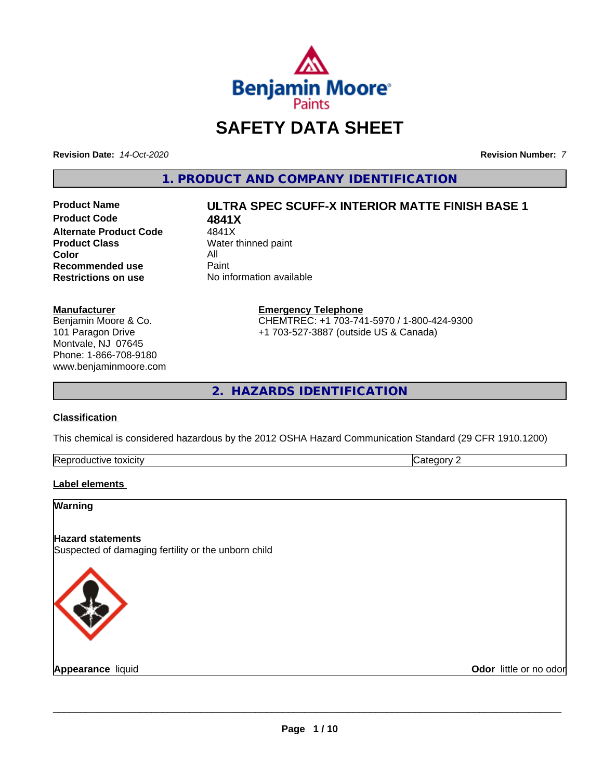

# **SAFETY DATA SHEET**

**Revision Date:** *14-Oct-2020* **Revision Number:** *7*

**1. PRODUCT AND COMPANY IDENTIFICATION**

**Product Code 4841X Alternate Product Code** 4841X<br> **Product Class** Water t **Color** All<br> **Recommended use** Paint **Recommended use**<br>Restrictions on use

# **Product Name ULTRA SPEC SCUFF-X INTERIOR MATTE FINISH BASE 1**

**Water thinned paint No information available** 

#### **Manufacturer**

Benjamin Moore & Co. 101 Paragon Drive Montvale, NJ 07645 Phone: 1-866-708-9180 www.benjaminmoore.com

#### **Emergency Telephone** CHEMTREC: +1 703-741-5970 / 1-800-424-9300

+1 703-527-3887 (outside US & Canada)

**2. HAZARDS IDENTIFICATION**

#### **Classification**

This chemical is considered hazardous by the 2012 OSHA Hazard Communication Standard (29 CFR 1910.1200)

| . .<br>. . | . . |  |
|------------|-----|--|

#### **Label elements**

# **Warning Hazard statements** Suspected of damaging fertility or the unborn child

**Appearance** liquid

**Odor** little or no odor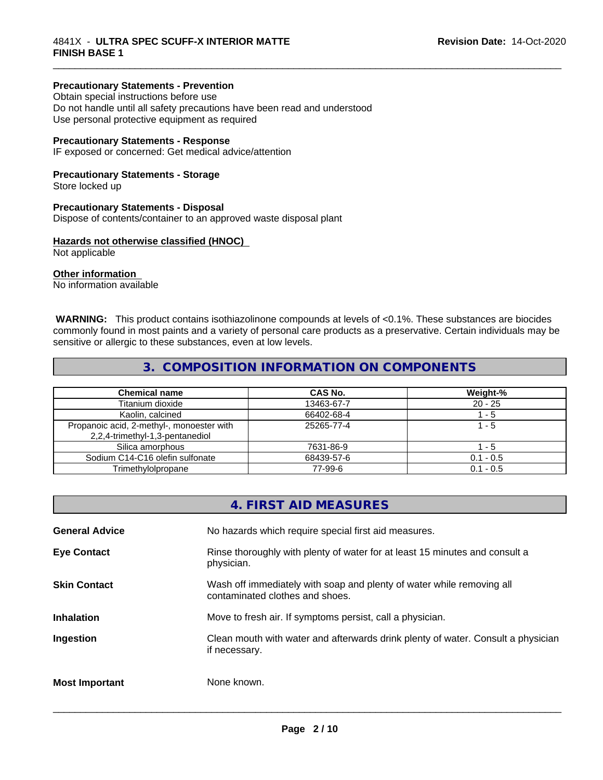#### **Precautionary Statements - Prevention**

Obtain special instructions before use Do not handle until all safety precautions have been read and understood Use personal protective equipment as required

#### **Precautionary Statements - Response**

IF exposed or concerned: Get medical advice/attention

#### **Precautionary Statements - Storage**

Store locked up

#### **Precautionary Statements - Disposal**

Dispose of contents/container to an approved waste disposal plant

#### **Hazards not otherwise classified (HNOC)**

Not applicable

#### **Other information**

No information available

 **WARNING:** This product contains isothiazolinone compounds at levels of <0.1%. These substances are biocides commonly found in most paints and a variety of personal care products as a preservative. Certain individuals may be sensitive or allergic to these substances, even at low levels.

\_\_\_\_\_\_\_\_\_\_\_\_\_\_\_\_\_\_\_\_\_\_\_\_\_\_\_\_\_\_\_\_\_\_\_\_\_\_\_\_\_\_\_\_\_\_\_\_\_\_\_\_\_\_\_\_\_\_\_\_\_\_\_\_\_\_\_\_\_\_\_\_\_\_\_\_\_\_\_\_\_\_\_\_\_\_\_\_\_\_\_\_\_

#### **3. COMPOSITION INFORMATION ON COMPONENTS**

| <b>Chemical name</b>                      | CAS No.    | Weight-%    |
|-------------------------------------------|------------|-------------|
| Titanium dioxide                          | 13463-67-7 | $20 - 25$   |
| Kaolin, calcined                          | 66402-68-4 | l - 5       |
| Propanoic acid, 2-methyl-, monoester with | 25265-77-4 | 1 - 5       |
| 2,2,4-trimethyl-1,3-pentanediol           |            |             |
| Silica amorphous                          | 7631-86-9  | - 5         |
| Sodium C14-C16 olefin sulfonate           | 68439-57-6 | $0.1 - 0.5$ |
| Trimethylolpropane                        | 77-99-6    | $0.1 - 0.5$ |

|                       | 4. FIRST AID MEASURES                                                                                    |
|-----------------------|----------------------------------------------------------------------------------------------------------|
| <b>General Advice</b> | No hazards which require special first aid measures.                                                     |
| <b>Eye Contact</b>    | Rinse thoroughly with plenty of water for at least 15 minutes and consult a<br>physician.                |
| <b>Skin Contact</b>   | Wash off immediately with soap and plenty of water while removing all<br>contaminated clothes and shoes. |
| <b>Inhalation</b>     | Move to fresh air. If symptoms persist, call a physician.                                                |
| Ingestion             | Clean mouth with water and afterwards drink plenty of water. Consult a physician<br>if necessary.        |
| <b>Most Important</b> | None known.                                                                                              |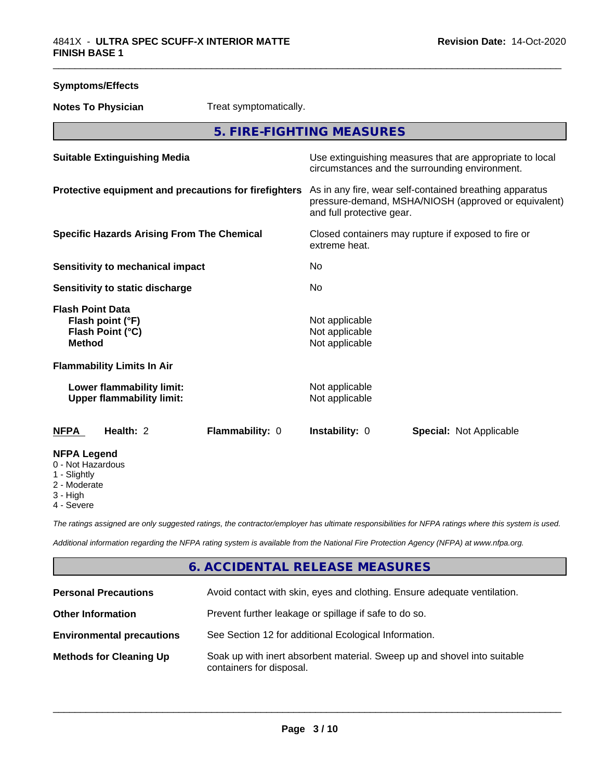| <b>Symptoms/Effects</b>                                                          |                        |                                                                                                                                              |                                                                                                            |  |
|----------------------------------------------------------------------------------|------------------------|----------------------------------------------------------------------------------------------------------------------------------------------|------------------------------------------------------------------------------------------------------------|--|
| <b>Notes To Physician</b>                                                        | Treat symptomatically. |                                                                                                                                              |                                                                                                            |  |
|                                                                                  |                        | 5. FIRE-FIGHTING MEASURES                                                                                                                    |                                                                                                            |  |
| <b>Suitable Extinguishing Media</b>                                              |                        |                                                                                                                                              | Use extinguishing measures that are appropriate to local<br>circumstances and the surrounding environment. |  |
| Protective equipment and precautions for firefighters                            |                        | As in any fire, wear self-contained breathing apparatus<br>pressure-demand, MSHA/NIOSH (approved or equivalent)<br>and full protective gear. |                                                                                                            |  |
| <b>Specific Hazards Arising From The Chemical</b>                                |                        | extreme heat.                                                                                                                                | Closed containers may rupture if exposed to fire or                                                        |  |
| <b>Sensitivity to mechanical impact</b>                                          |                        | No                                                                                                                                           |                                                                                                            |  |
| Sensitivity to static discharge                                                  |                        | N <sub>0</sub>                                                                                                                               |                                                                                                            |  |
| <b>Flash Point Data</b><br>Flash point (°F)<br>Flash Point (°C)<br><b>Method</b> |                        | Not applicable<br>Not applicable<br>Not applicable                                                                                           |                                                                                                            |  |
| <b>Flammability Limits In Air</b>                                                |                        |                                                                                                                                              |                                                                                                            |  |
| Lower flammability limit:<br><b>Upper flammability limit:</b>                    |                        | Not applicable<br>Not applicable                                                                                                             |                                                                                                            |  |
| Health: 2<br><b>NFPA</b>                                                         | Flammability: 0        | Instability: 0                                                                                                                               | <b>Special: Not Applicable</b>                                                                             |  |
| <b>NFPA Legend</b><br>0 - Not Hazardous<br>1 - Slightly                          |                        |                                                                                                                                              |                                                                                                            |  |

- 2 Moderate
- 3 High
- 4 Severe

*The ratings assigned are only suggested ratings, the contractor/employer has ultimate responsibilities for NFPA ratings where this system is used.*

*Additional information regarding the NFPA rating system is available from the National Fire Protection Agency (NFPA) at www.nfpa.org.*

# **6. ACCIDENTAL RELEASE MEASURES**

| <b>Personal Precautions</b>      | Avoid contact with skin, eyes and clothing. Ensure adequate ventilation.                             |
|----------------------------------|------------------------------------------------------------------------------------------------------|
| <b>Other Information</b>         | Prevent further leakage or spillage if safe to do so.                                                |
| <b>Environmental precautions</b> | See Section 12 for additional Ecological Information.                                                |
| <b>Methods for Cleaning Up</b>   | Soak up with inert absorbent material. Sweep up and shovel into suitable<br>containers for disposal. |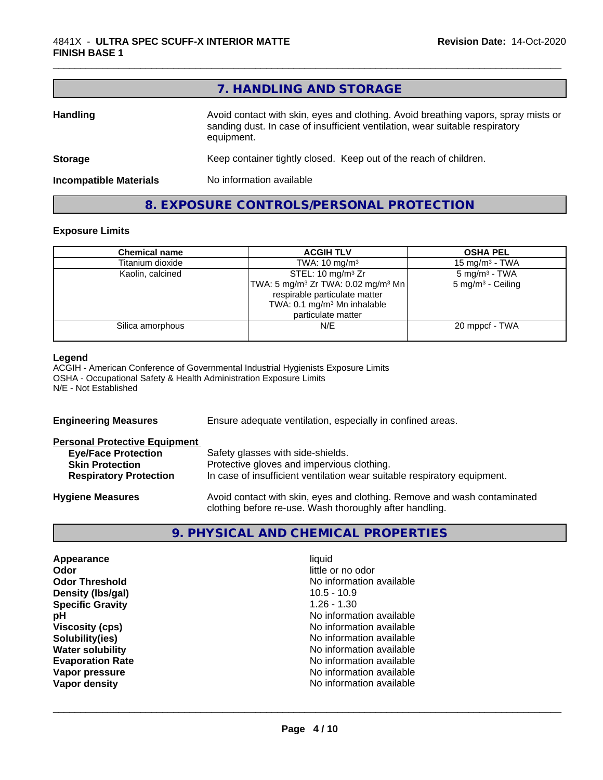|                               | 7. HANDLING AND STORAGE                                                                                                                                                          |
|-------------------------------|----------------------------------------------------------------------------------------------------------------------------------------------------------------------------------|
| <b>Handling</b>               | Avoid contact with skin, eyes and clothing. Avoid breathing vapors, spray mists or<br>sanding dust. In case of insufficient ventilation, wear suitable respiratory<br>equipment. |
| <b>Storage</b>                | Keep container tightly closed. Keep out of the reach of children.                                                                                                                |
| <b>Incompatible Materials</b> | No information available                                                                                                                                                         |
|                               | 8. EXPOSURE CONTROLS/PERSONAL PROTECTION                                                                                                                                         |

#### **Exposure Limits**

| <b>Chemical name</b> | <b>ACGIH TLV</b>                                           | <b>OSHA PEL</b>              |
|----------------------|------------------------------------------------------------|------------------------------|
| Titanium dioxide     | TWA: $10 \text{ mg/m}^3$                                   | 15 mg/m $3$ - TWA            |
| Kaolin, calcined     | STEL: 10 mg/m <sup>3</sup> Zr                              | $5 \text{ mg/m}^3$ - TWA     |
|                      | TWA: 5 mg/m <sup>3</sup> Zr TWA: 0.02 mg/m <sup>3</sup> Mn | $5 \text{ mg/m}^3$ - Ceiling |
|                      | respirable particulate matter                              |                              |
|                      | TWA: 0.1 mg/m <sup>3</sup> Mn inhalable                    |                              |
|                      | particulate matter                                         |                              |
| Silica amorphous     | N/E                                                        | 20 mppcf - TWA               |
|                      |                                                            |                              |

#### **Legend**

ACGIH - American Conference of Governmental Industrial Hygienists Exposure Limits OSHA - Occupational Safety & Health Administration Exposure Limits N/E - Not Established

| <b>Engineering Measures</b>                                                                                                   | Ensure adequate ventilation, especially in confined areas.                                                                                                  |
|-------------------------------------------------------------------------------------------------------------------------------|-------------------------------------------------------------------------------------------------------------------------------------------------------------|
| <b>Personal Protective Equipment</b><br><b>Eye/Face Protection</b><br><b>Skin Protection</b><br><b>Respiratory Protection</b> | Safety glasses with side-shields.<br>Protective gloves and impervious clothing.<br>In case of insufficient ventilation wear suitable respiratory equipment. |
| <b>Hygiene Measures</b>                                                                                                       | Avoid contact with skin, eyes and clothing. Remove and wash contaminated<br>clothing before re-use. Wash thoroughly after handling.                         |

# **9. PHYSICAL AND CHEMICAL PROPERTIES**

| Appearance              | liquid                   |
|-------------------------|--------------------------|
| Odor                    | little or no odor        |
| <b>Odor Threshold</b>   | No information available |
| Density (Ibs/gal)       | $10.5 - 10.9$            |
| <b>Specific Gravity</b> | $1.26 - 1.30$            |
| pH                      | No information available |
| <b>Viscosity (cps)</b>  | No information available |
| Solubility(ies)         | No information available |
| <b>Water solubility</b> | No information available |
| <b>Evaporation Rate</b> | No information available |
| Vapor pressure          | No information available |
| Vapor density           | No information available |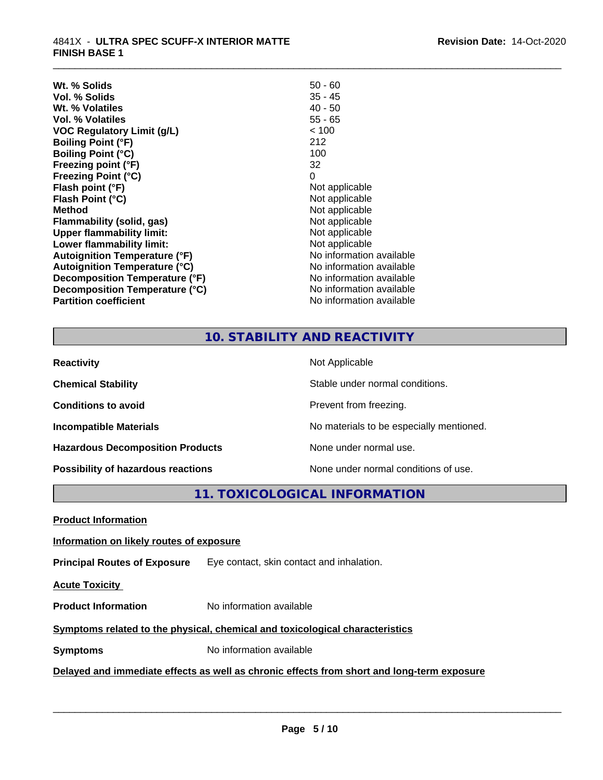| 35 - 45<br>Vol. % Solids<br>$40 - 50$<br>Wt. % Volatiles<br>$55 - 65$<br>Vol. % Volatiles<br>< 100<br>VOC Regulatory Limit (g/L)<br>212<br><b>Boiling Point (°F)</b><br>100<br><b>Boiling Point (°C)</b><br>32<br>Freezing point (°F)<br>0<br><b>Freezing Point (°C)</b><br>Not applicable<br>Flash point (°F)<br>Flash Point (°C)<br>Not applicable<br>Not applicable<br><b>Method</b><br>Not applicable<br>Flammability (solid, gas)<br>Not applicable<br><b>Upper flammability limit:</b><br>Not applicable<br>Lower flammability limit:<br>No information available<br>Autoignition Temperature (°F)<br>No information available<br><b>Autoignition Temperature (°C)</b><br>No information available<br>Decomposition Temperature (°F)<br>No information available<br>Decomposition Temperature (°C)<br><b>Partition coefficient</b><br>No information available | Wt. % Solids | $50 - 60$ |
|----------------------------------------------------------------------------------------------------------------------------------------------------------------------------------------------------------------------------------------------------------------------------------------------------------------------------------------------------------------------------------------------------------------------------------------------------------------------------------------------------------------------------------------------------------------------------------------------------------------------------------------------------------------------------------------------------------------------------------------------------------------------------------------------------------------------------------------------------------------------|--------------|-----------|
|                                                                                                                                                                                                                                                                                                                                                                                                                                                                                                                                                                                                                                                                                                                                                                                                                                                                      |              |           |
|                                                                                                                                                                                                                                                                                                                                                                                                                                                                                                                                                                                                                                                                                                                                                                                                                                                                      |              |           |
|                                                                                                                                                                                                                                                                                                                                                                                                                                                                                                                                                                                                                                                                                                                                                                                                                                                                      |              |           |
|                                                                                                                                                                                                                                                                                                                                                                                                                                                                                                                                                                                                                                                                                                                                                                                                                                                                      |              |           |
|                                                                                                                                                                                                                                                                                                                                                                                                                                                                                                                                                                                                                                                                                                                                                                                                                                                                      |              |           |
|                                                                                                                                                                                                                                                                                                                                                                                                                                                                                                                                                                                                                                                                                                                                                                                                                                                                      |              |           |
|                                                                                                                                                                                                                                                                                                                                                                                                                                                                                                                                                                                                                                                                                                                                                                                                                                                                      |              |           |
|                                                                                                                                                                                                                                                                                                                                                                                                                                                                                                                                                                                                                                                                                                                                                                                                                                                                      |              |           |
|                                                                                                                                                                                                                                                                                                                                                                                                                                                                                                                                                                                                                                                                                                                                                                                                                                                                      |              |           |
|                                                                                                                                                                                                                                                                                                                                                                                                                                                                                                                                                                                                                                                                                                                                                                                                                                                                      |              |           |
|                                                                                                                                                                                                                                                                                                                                                                                                                                                                                                                                                                                                                                                                                                                                                                                                                                                                      |              |           |
|                                                                                                                                                                                                                                                                                                                                                                                                                                                                                                                                                                                                                                                                                                                                                                                                                                                                      |              |           |
|                                                                                                                                                                                                                                                                                                                                                                                                                                                                                                                                                                                                                                                                                                                                                                                                                                                                      |              |           |
|                                                                                                                                                                                                                                                                                                                                                                                                                                                                                                                                                                                                                                                                                                                                                                                                                                                                      |              |           |
|                                                                                                                                                                                                                                                                                                                                                                                                                                                                                                                                                                                                                                                                                                                                                                                                                                                                      |              |           |
|                                                                                                                                                                                                                                                                                                                                                                                                                                                                                                                                                                                                                                                                                                                                                                                                                                                                      |              |           |
|                                                                                                                                                                                                                                                                                                                                                                                                                                                                                                                                                                                                                                                                                                                                                                                                                                                                      |              |           |
|                                                                                                                                                                                                                                                                                                                                                                                                                                                                                                                                                                                                                                                                                                                                                                                                                                                                      |              |           |
|                                                                                                                                                                                                                                                                                                                                                                                                                                                                                                                                                                                                                                                                                                                                                                                                                                                                      |              |           |

## **10. STABILITY AND REACTIVITY**

\_\_\_\_\_\_\_\_\_\_\_\_\_\_\_\_\_\_\_\_\_\_\_\_\_\_\_\_\_\_\_\_\_\_\_\_\_\_\_\_\_\_\_\_\_\_\_\_\_\_\_\_\_\_\_\_\_\_\_\_\_\_\_\_\_\_\_\_\_\_\_\_\_\_\_\_\_\_\_\_\_\_\_\_\_\_\_\_\_\_\_\_\_

| <b>Reactivity</b>                       | Not Applicable                           |
|-----------------------------------------|------------------------------------------|
| <b>Chemical Stability</b>               | Stable under normal conditions.          |
| <b>Conditions to avoid</b>              | Prevent from freezing.                   |
| <b>Incompatible Materials</b>           | No materials to be especially mentioned. |
| <b>Hazardous Decomposition Products</b> | None under normal use.                   |
| Possibility of hazardous reactions      | None under normal conditions of use.     |

**11. TOXICOLOGICAL INFORMATION**

**Product Information**

#### **Information on likely routes of exposure**

**Principal Routes of Exposure** Eye contact, skin contact and inhalation.

**Acute Toxicity** 

**Product Information** No information available

#### **Symptoms** related to the physical, chemical and toxicological characteristics

**Symptoms** No information available

## **Delayed and immediate effects as well as chronic effects from short and long-term exposure**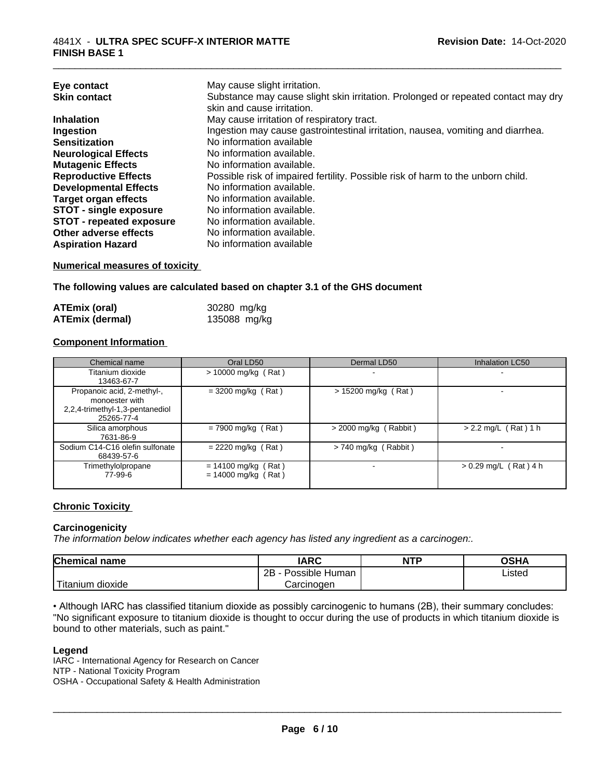| Eye contact                     | May cause slight irritation.                                                      |
|---------------------------------|-----------------------------------------------------------------------------------|
| <b>Skin contact</b>             | Substance may cause slight skin irritation. Prolonged or repeated contact may dry |
|                                 | skin and cause irritation.                                                        |
| <b>Inhalation</b>               | May cause irritation of respiratory tract.                                        |
| Ingestion                       | Ingestion may cause gastrointestinal irritation, nausea, vomiting and diarrhea.   |
| <b>Sensitization</b>            | No information available                                                          |
| <b>Neurological Effects</b>     | No information available.                                                         |
| <b>Mutagenic Effects</b>        | No information available.                                                         |
| <b>Reproductive Effects</b>     | Possible risk of impaired fertility. Possible risk of harm to the unborn child.   |
| <b>Developmental Effects</b>    | No information available.                                                         |
| <b>Target organ effects</b>     | No information available.                                                         |
| <b>STOT - single exposure</b>   | No information available.                                                         |
| <b>STOT - repeated exposure</b> | No information available.                                                         |
| Other adverse effects           | No information available.                                                         |
| <b>Aspiration Hazard</b>        | No information available                                                          |
|                                 |                                                                                   |

\_\_\_\_\_\_\_\_\_\_\_\_\_\_\_\_\_\_\_\_\_\_\_\_\_\_\_\_\_\_\_\_\_\_\_\_\_\_\_\_\_\_\_\_\_\_\_\_\_\_\_\_\_\_\_\_\_\_\_\_\_\_\_\_\_\_\_\_\_\_\_\_\_\_\_\_\_\_\_\_\_\_\_\_\_\_\_\_\_\_\_\_\_

#### **Numerical measures of toxicity**

**The following values are calculated based on chapter 3.1 of the GHS document**

| ATEmix (oral)          | 30280 mg/kg  |
|------------------------|--------------|
| <b>ATEmix (dermal)</b> | 135088 mg/kg |

#### **Component Information**

| Chemical name                                                                                 | Oral LD50                                      | Dermal LD50             | Inhalation LC50          |
|-----------------------------------------------------------------------------------------------|------------------------------------------------|-------------------------|--------------------------|
| Titanium dioxide<br>13463-67-7                                                                | $> 10000$ mg/kg (Rat)                          | -                       |                          |
| Propanoic acid, 2-methyl-,<br>monoester with<br>2,2,4-trimethyl-1,3-pentanediol<br>25265-77-4 | $= 3200$ mg/kg (Rat)                           | $> 15200$ mg/kg (Rat)   |                          |
| Silica amorphous<br>7631-86-9                                                                 | $= 7900$ mg/kg (Rat)                           | $>$ 2000 mg/kg (Rabbit) | $> 2.2$ mg/L (Rat) 1 h   |
| Sodium C14-C16 olefin sulfonate<br>68439-57-6                                                 | $= 2220$ mg/kg (Rat)                           | > 740 mg/kg (Rabbit)    | $\overline{\phantom{0}}$ |
| Trimethylolpropane<br>77-99-6                                                                 | $= 14100$ mg/kg (Rat)<br>$= 14000$ mg/kg (Rat) |                         | $> 0.29$ mg/L (Rat) 4 h  |

#### **Chronic Toxicity**

#### **Carcinogenicity**

*The information below indicateswhether each agency has listed any ingredient as a carcinogen:.*

| <b>Chemical name</b>          | <b>IARC</b>                 | <b>NTP</b> | <b>OSHA</b> |
|-------------------------------|-----------------------------|------------|-------------|
|                               | . .<br>2B<br>Possible Human |            | Listed      |
| . .<br>dioxide ו<br>l itanıum | Carcinogen                  |            |             |

• Although IARC has classified titanium dioxide as possibly carcinogenic to humans (2B), their summary concludes: "No significant exposure to titanium dioxide is thought to occur during the use of products in which titanium dioxide is bound to other materials, such as paint."

#### **Legend**

IARC - International Agency for Research on Cancer NTP - National Toxicity Program OSHA - Occupational Safety & Health Administration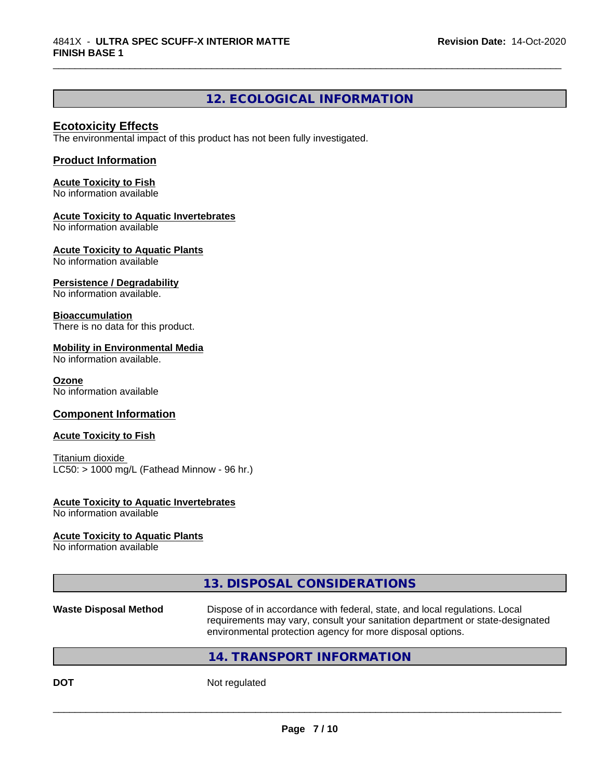### **12. ECOLOGICAL INFORMATION**

\_\_\_\_\_\_\_\_\_\_\_\_\_\_\_\_\_\_\_\_\_\_\_\_\_\_\_\_\_\_\_\_\_\_\_\_\_\_\_\_\_\_\_\_\_\_\_\_\_\_\_\_\_\_\_\_\_\_\_\_\_\_\_\_\_\_\_\_\_\_\_\_\_\_\_\_\_\_\_\_\_\_\_\_\_\_\_\_\_\_\_\_\_

#### **Ecotoxicity Effects**

The environmental impact of this product has not been fully investigated.

#### **Product Information**

**Acute Toxicity to Fish** No information available

#### **Acute Toxicity to Aquatic Invertebrates**

No information available

**Acute Toxicity to Aquatic Plants**

No information available

#### **Persistence / Degradability**

No information available.

#### **Bioaccumulation**

There is no data for this product.

#### **Mobility in Environmental Media**

No information available.

#### **Ozone**

No information available

#### **Component Information**

#### **Acute Toxicity to Fish**

Titanium dioxide  $LC50:$  > 1000 mg/L (Fathead Minnow - 96 hr.)

#### **Acute Toxicity to Aquatic Invertebrates**

No information available

#### **Acute Toxicity to Aquatic Plants**

No information available

#### **13. DISPOSAL CONSIDERATIONS**

**Waste Disposal Method** Dispose of in accordance with federal, state, and local regulations. Local requirements may vary, consult your sanitation department or state-designated environmental protection agency for more disposal options.

 $\overline{\phantom{a}}$  ,  $\overline{\phantom{a}}$  ,  $\overline{\phantom{a}}$  ,  $\overline{\phantom{a}}$  ,  $\overline{\phantom{a}}$  ,  $\overline{\phantom{a}}$  ,  $\overline{\phantom{a}}$  ,  $\overline{\phantom{a}}$  ,  $\overline{\phantom{a}}$  ,  $\overline{\phantom{a}}$  ,  $\overline{\phantom{a}}$  ,  $\overline{\phantom{a}}$  ,  $\overline{\phantom{a}}$  ,  $\overline{\phantom{a}}$  ,  $\overline{\phantom{a}}$  ,  $\overline{\phantom{a}}$ 

#### **14. TRANSPORT INFORMATION**

**DOT** Not regulated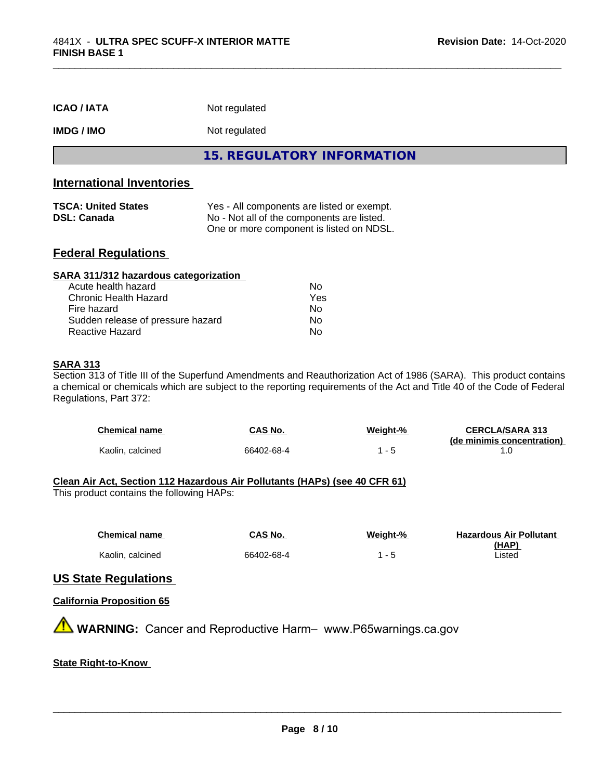| <b>ICAO/IATA</b>  | Not regulated                     |
|-------------------|-----------------------------------|
| <b>IMDG / IMO</b> | Not regulated                     |
|                   | <b>15. REGULATORY INFORMATION</b> |

\_\_\_\_\_\_\_\_\_\_\_\_\_\_\_\_\_\_\_\_\_\_\_\_\_\_\_\_\_\_\_\_\_\_\_\_\_\_\_\_\_\_\_\_\_\_\_\_\_\_\_\_\_\_\_\_\_\_\_\_\_\_\_\_\_\_\_\_\_\_\_\_\_\_\_\_\_\_\_\_\_\_\_\_\_\_\_\_\_\_\_\_\_

#### **International Inventories**

| <b>TSCA: United States</b> | Yes - All components are listed or exempt. |
|----------------------------|--------------------------------------------|
| <b>DSL: Canada</b>         | No - Not all of the components are listed. |
|                            | One or more component is listed on NDSL.   |

#### **Federal Regulations**

| SARA 311/312 hazardous categorization |     |  |
|---------------------------------------|-----|--|
| Acute health hazard                   | Nο  |  |
| Chronic Health Hazard                 | Yes |  |
| Fire hazard                           | Nο  |  |
| Sudden release of pressure hazard     | Nο  |  |
| Reactive Hazard                       | No  |  |

#### **SARA 313**

Section 313 of Title III of the Superfund Amendments and Reauthorization Act of 1986 (SARA). This product contains a chemical or chemicals which are subject to the reporting requirements of the Act and Title 40 of the Code of Federal Regulations, Part 372:

| <b>Chemical name</b> | CAS No.    | Weiaht-% | <b>CERCLA/SARA 313</b>     |
|----------------------|------------|----------|----------------------------|
|                      |            |          | (de minimis concentration) |
| Kaolin, calcined     | 66402-68-4 |          |                            |

#### **Clean Air Act,Section 112 Hazardous Air Pollutants (HAPs) (see 40 CFR 61)**

This product contains the following HAPs:

| <b>Chemical name</b> | CAS No.    | Weight-%                 | <b>Hazardous Air Pollutant</b> |
|----------------------|------------|--------------------------|--------------------------------|
|                      |            |                          | (HAP)                          |
| Kaolin, calcined     | 66402-68-4 | $\overline{\phantom{0}}$ | .isted                         |

#### **US State Regulations**

#### **California Proposition 65**

**A WARNING:** Cancer and Reproductive Harm– www.P65warnings.ca.gov

#### **State Right-to-Know**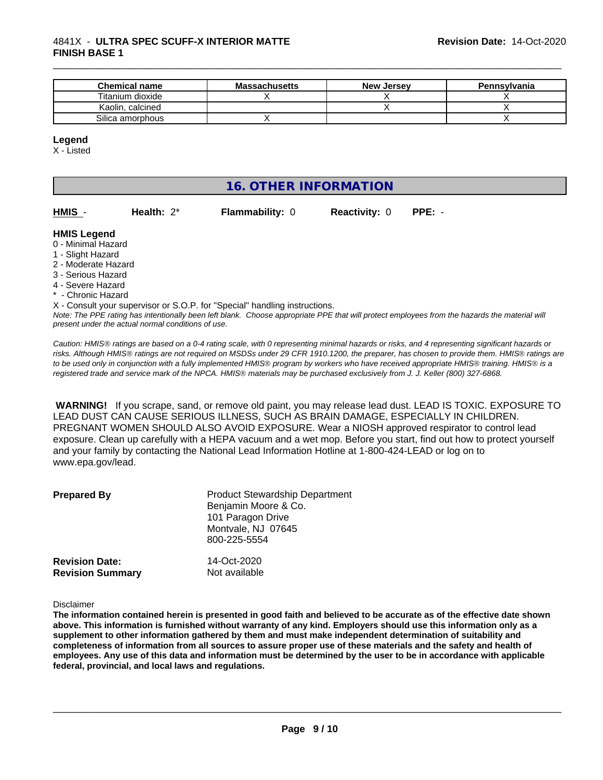#### 4841X - **ULTRA SPEC SCUFF-X INTERIOR MATTE FINISH BASE 1**

| <b>Chemical name</b> | <b>Massachusetts</b> | <b>New Jersey</b> | Pennsylvania |
|----------------------|----------------------|-------------------|--------------|
| Titanium dioxide     |                      |                   |              |
| Kaolin, calcined     |                      |                   |              |
| Silica amorphous     |                      |                   |              |

#### **Legend**

X - Listed

# **16. OTHER INFORMATION**

| HMIS - | Health: $2^*$ |  |
|--------|---------------|--|

**Flammability: 0 Reactivity: 0 PPE: -**

\_\_\_\_\_\_\_\_\_\_\_\_\_\_\_\_\_\_\_\_\_\_\_\_\_\_\_\_\_\_\_\_\_\_\_\_\_\_\_\_\_\_\_\_\_\_\_\_\_\_\_\_\_\_\_\_\_\_\_\_\_\_\_\_\_\_\_\_\_\_\_\_\_\_\_\_\_\_\_\_\_\_\_\_\_\_\_\_\_\_\_\_\_

#### **HMIS Legend**

- 0 Minimal Hazard
- 1 Slight Hazard
- 2 Moderate Hazard
- 3 Serious Hazard
- 4 Severe Hazard
- \* Chronic Hazard

*Note: The PPE rating has intentionally been left blank. Choose appropriate PPE that will protect employees from the hazards the material will* X - Consult your supervisor or S.O.P. for "Special" handling instructions.

*present under the actual normal conditions of use.*

*Caution: HMISÒ ratings are based on a 0-4 rating scale, with 0 representing minimal hazards or risks, and 4 representing significant hazards or risks. Although HMISÒ ratings are not required on MSDSs under 29 CFR 1910.1200, the preparer, has chosen to provide them. HMISÒ ratings are to be used only in conjunction with a fully implemented HMISÒ program by workers who have received appropriate HMISÒ training. HMISÒ is a registered trade and service mark of the NPCA. HMISÒ materials may be purchased exclusively from J. J. Keller (800) 327-6868.*

 **WARNING!** If you scrape, sand, or remove old paint, you may release lead dust. LEAD IS TOXIC. EXPOSURE TO LEAD DUST CAN CAUSE SERIOUS ILLNESS, SUCH AS BRAIN DAMAGE, ESPECIALLY IN CHILDREN. PREGNANT WOMEN SHOULD ALSO AVOID EXPOSURE. Wear a NIOSH approved respirator to control lead exposure. Clean up carefully with a HEPA vacuum and a wet mop. Before you start, find out how to protect yourself and your family by contacting the National Lead Information Hotline at 1-800-424-LEAD or log on to www.epa.gov/lead.

| <b>Prepared By</b>                               | <b>Product Stewardship Department</b><br>Benjamin Moore & Co.<br>101 Paragon Drive<br>Montvale, NJ 07645<br>800-225-5554 |  |
|--------------------------------------------------|--------------------------------------------------------------------------------------------------------------------------|--|
| <b>Revision Date:</b><br><b>Revision Summary</b> | 14-Oct-2020<br>Not available                                                                                             |  |

Disclaimer

The information contained herein is presented in good faith and believed to be accurate as of the effective date shown above. This information is furnished without warranty of any kind. Employers should use this information only as a **supplement to other information gathered by them and must make independent determination of suitability and** completeness of information from all sources to assure proper use of these materials and the safety and health of employees. Any use of this data and information must be determined by the user to be in accordance with applicable **federal, provincial, and local laws and regulations.**